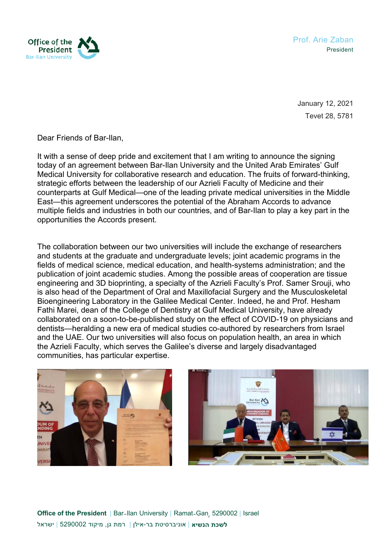

Prof. Arie Zaban President

January 12, 2021 Tevet 28, 5781

Dear Friends of Bar-Ilan,

It with a sense of deep pride and excitement that I am writing to announce the signing today of an agreement between Bar-Ilan University and the United Arab Emirates' Gulf Medical University for collaborative research and education. The fruits of forward-thinking, strategic efforts between the leadership of our Azrieli Faculty of Medicine and their counterparts at Gulf Medical—one of the leading private medical universities in the Middle East—this agreement underscores the potential of the Abraham Accords to advance multiple fields and industries in both our countries, and of Bar-Ilan to play a key part in the opportunities the Accords present.

The collaboration between our two universities will include the exchange of researchers and students at the graduate and undergraduate levels; joint academic programs in the fields of medical science, medical education, and health-systems administration; and the publication of joint academic studies. Among the possible areas of cooperation are tissue engineering and 3D bioprinting, a specialty of the Azrieli Faculty's Prof. Samer Srouji, who is also head of the Department of Oral and Maxillofacial Surgery and the Musculoskeletal Bioengineering Laboratory in the Galilee Medical Center. Indeed, he and Prof. Hesham Fathi Marei, dean of the College of Dentistry at Gulf Medical University, have already collaborated on a soon-to-be-published study on the effect of COVID-19 on physicians and dentists—heralding a new era of medical studies co-authored by researchers from Israel and the UAE. Our two universities will also focus on population health, an area in which the Azrieli Faculty, which serves the Galilee's diverse and largely disadvantaged communities, has particular expertise.





**Office of the President | Bar-Ilan University | Ramat-Gan, 5290002 | Israel לשכת הנשיא** | אוניברסיטת בר-אילן | רמת גן, מיקוד 5290002 | ישראל